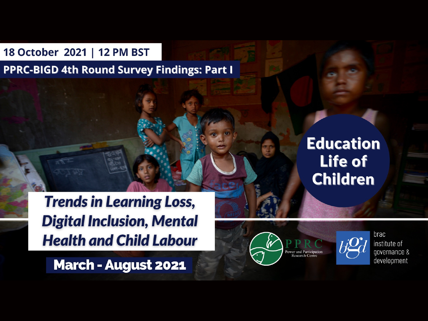18 October 2021 | 12 PM BST

**PPRC-BIGD 4th Round Survey Findings: Part I** 

**Trends in Learning Loss, Digital Inclusion, Mental Health and Child Labour** 

**March - August 2021** 







brac institute of governance & development

#### **Education** Life of **Children**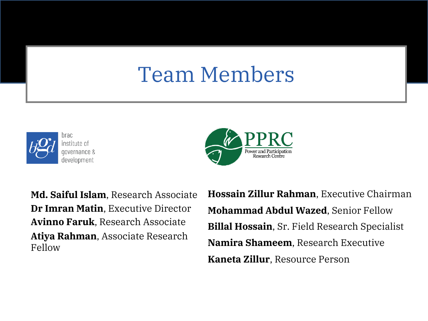### Team Members





**Md. Saiful Islam**, Research Associate **Dr Imran Matin**, Executive Director **Avinno Faruk**, Research Associate **Atiya Rahman**, Associate Research Fellow

**Hossain Zillur Rahman**, Executive Chairman **Mohammad Abdul Wazed**, Senior Fellow **Billal Hossain**, Sr. Field Research Specialist **Namira Shameem**, Research Executive **Kaneta Zillur**, Resource Person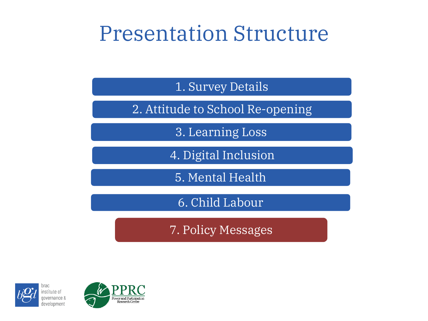### Presentation Structure

1. Survey Details

2. Attitude to School Re-opening

3. Learning Loss

4. Digital Inclusion

5. Mental Health

6. Child Labour

7. Policy Messages





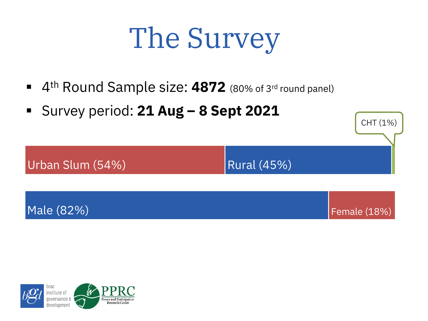# The Survey

- 4<sup>th</sup> Round Sample size: 4872 (80% of 3<sup>rd</sup> round panel)
- § Survey period: **21 Aug – 8 Sept 2021**

Urban Slum  $(54%)$  Rural  $(45%)$ 

CHT (1%)



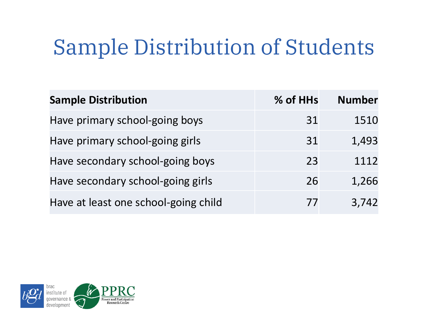## Sample Distribution of Students

| <b>Sample Distribution</b>           | % of HHs | <b>Number</b> |
|--------------------------------------|----------|---------------|
| Have primary school-going boys       | 31       | 1510          |
| Have primary school-going girls      | 31       | 1,493         |
| Have secondary school-going boys     | 23       | 1112          |
| Have secondary school-going girls    | 26       | 1,266         |
| Have at least one school-going child | 77       | 3,742         |

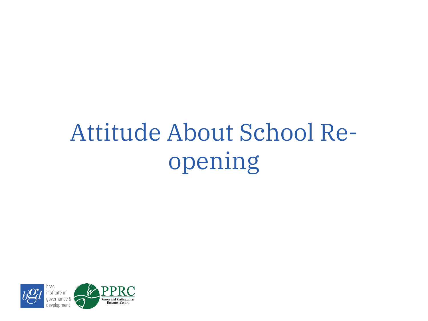## Attitude About School Reopening

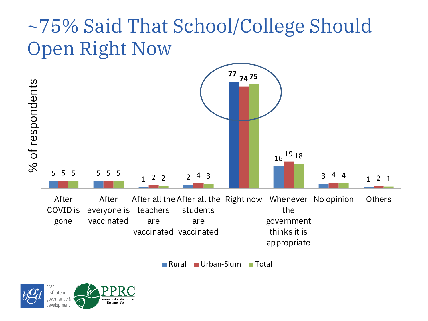### ~75% Said That School/College Should Open Right Now



Rural Urban-Slum Total

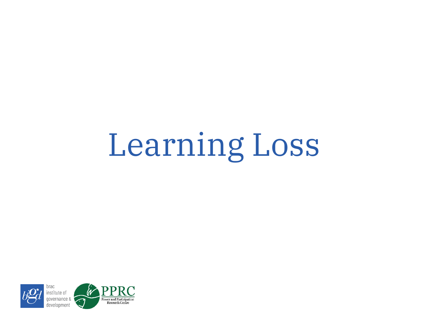# Learning Loss

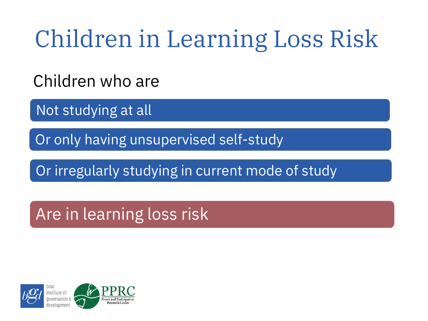## Children in Learning Loss Risk

Children who are

Not studying at all

Or only having unsupervised self-study

Or irregularly studying in current mode of study

Are in learning loss risk

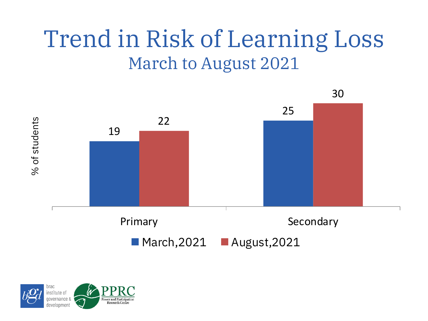## Trend in Risk of Learning Loss March to August 2021



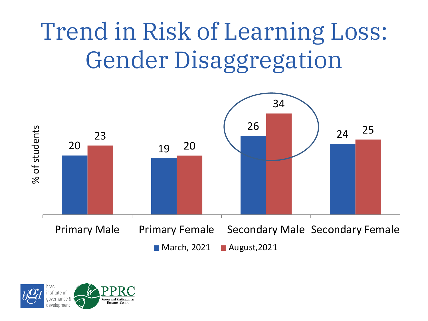## Trend in Risk of Learning Loss: Gender Disaggregation



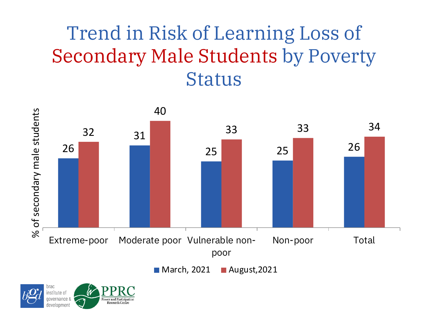### Trend in Risk of Learning Loss of Secondary Male Students by Poverty Status



■ March, 2021 **■ August, 2021** 

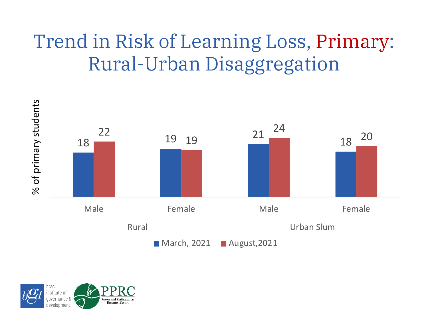#### Trend in Risk of Learning Loss, Primary: Rural-Urban Disaggregation



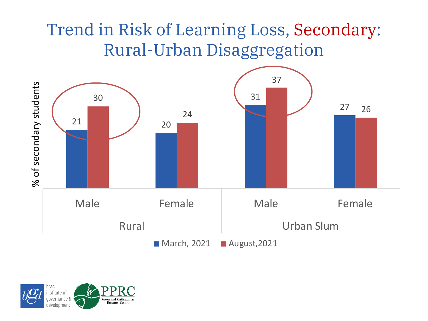#### Trend in Risk of Learning Loss, Secondary: Rural-Urban Disaggregation



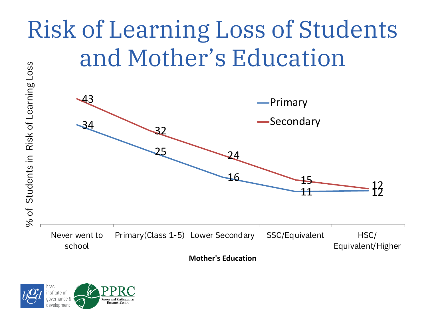## Risk of Learning Loss of Students and Mother's Education



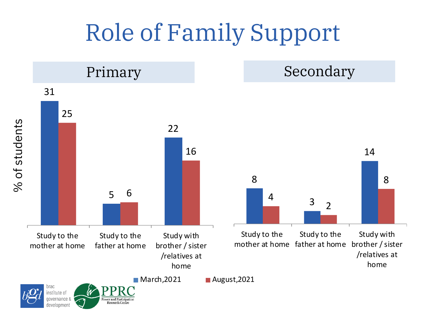## Role of Family Support

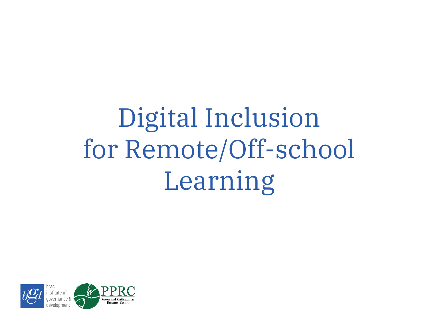# Digital Inclusion for Remote/Off-school Learning

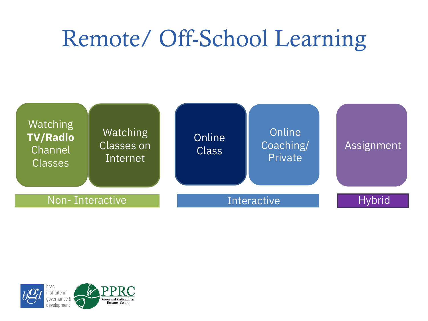## Remote/ Off-School Learning



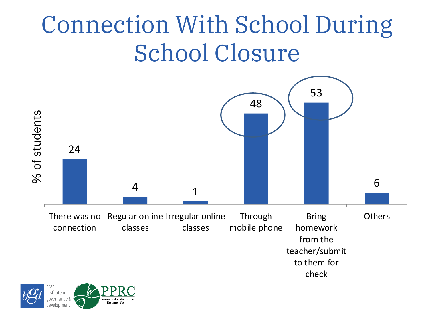## Connection With School During School Closure



![](_page_18_Picture_2.jpeg)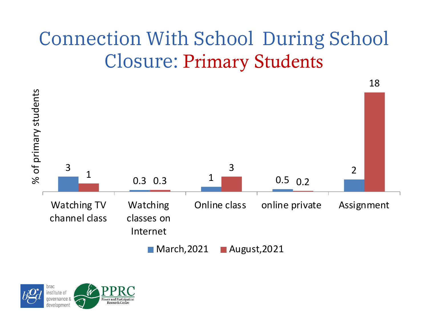### Connection With School During School Closure: Primary Students

![](_page_19_Figure_1.jpeg)

![](_page_19_Picture_2.jpeg)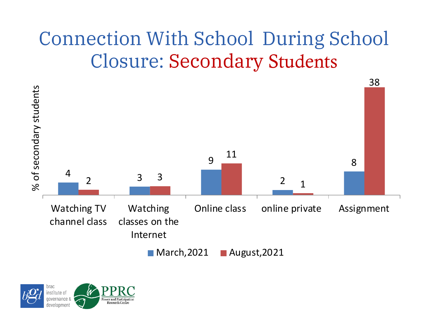### Connection With School During School Closure: Secondary Students

![](_page_20_Figure_1.jpeg)

![](_page_20_Picture_2.jpeg)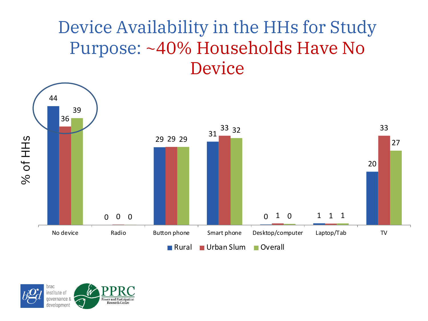#### Device Availability in the HHs for Study Purpose: ~40% Households Have No Device

![](_page_21_Figure_1.jpeg)

![](_page_21_Picture_2.jpeg)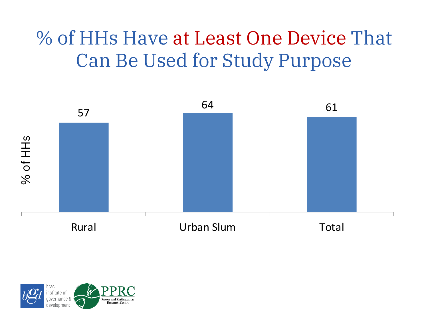### % of HHs Have at Least One Device That Can Be Used for Study Purpose

![](_page_22_Figure_1.jpeg)

![](_page_22_Picture_2.jpeg)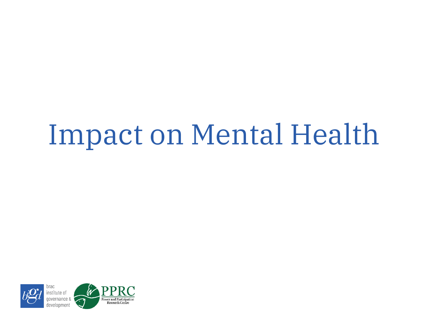## Impact on Mental Health

![](_page_23_Picture_1.jpeg)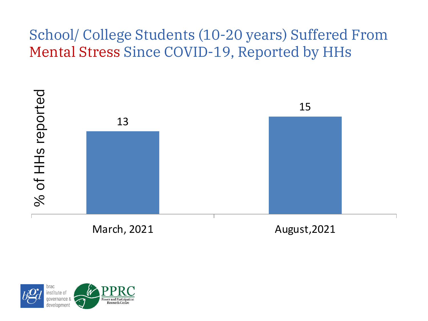#### School/ College Students (10-20 years) Suffered From Mental Stress Since COVID-19, Reported by HHs

![](_page_24_Figure_1.jpeg)

![](_page_24_Picture_2.jpeg)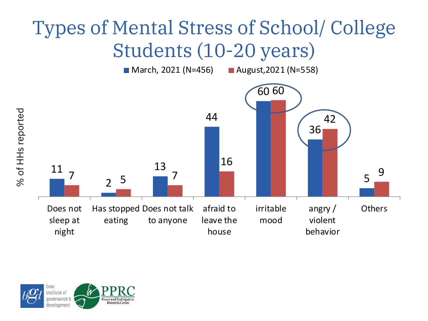### Types of Mental Stress of School/ College Students (10-20 years)

![](_page_25_Figure_1.jpeg)

![](_page_25_Picture_2.jpeg)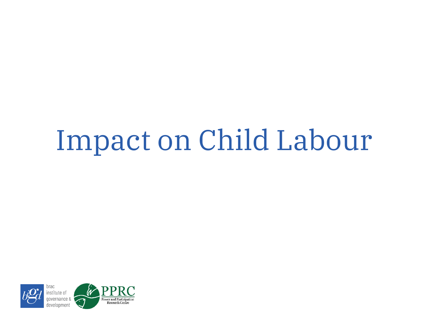# Impact on Child Labour

![](_page_26_Picture_1.jpeg)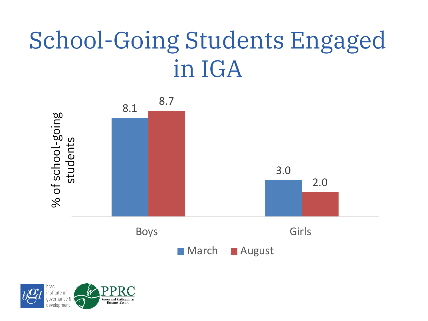## School-Going Students Engaged in IGA

![](_page_27_Figure_1.jpeg)

![](_page_27_Picture_2.jpeg)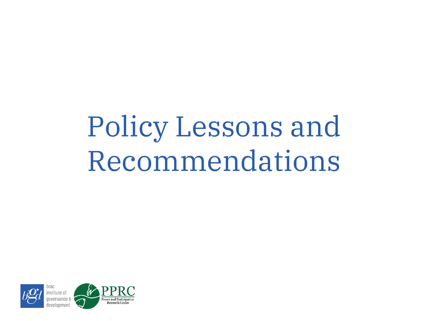# Policy Lessons and Recommendations

![](_page_28_Picture_1.jpeg)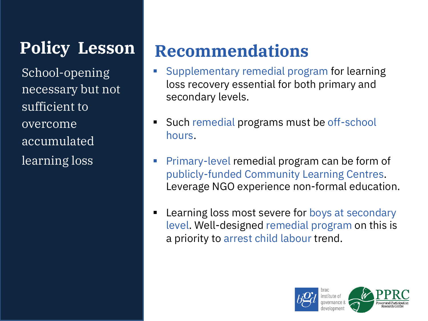**Policy Lesson**

School-opening necessary but not sufficient to overcome accumulated learning loss

#### **Recommendations**

- § Supplementary remedial program for learning loss recovery essential for both primary and secondary levels.
- § Such remedial programs must be off-school hours.
- § Primary-level remedial program can be form of publicly-funded Community Learning Centres. Leverage NGO experience non-formal education.
- Learning loss most severe for boys at secondary level. Well-designed remedial program on this is a priority to arrest child labour trend.

![](_page_29_Picture_7.jpeg)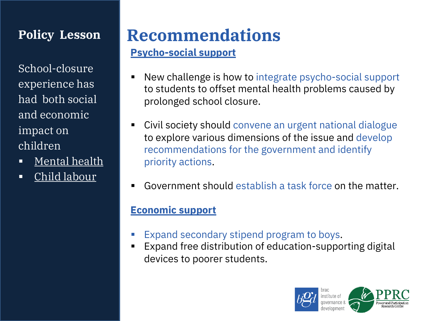#### **Policy Lesson**

School-closure experience has had both social and economic impact on children

- Mental health
- § Child labour

#### **Recommendations**

#### **Psycho-social support**

- New challenge is how to integrate psycho-social support to students to offset mental health problems caused by prolonged school closure.
- Civil society should convene an urgent national dialogue to explore various dimensions of the issue and develop recommendations for the government and identify priority actions.
- § Government should establish a task force on the matter.

#### **Economic support**

- Expand secondary stipend program to boys.
- Expand free distribution of education-supporting digital devices to poorer students.

![](_page_30_Picture_12.jpeg)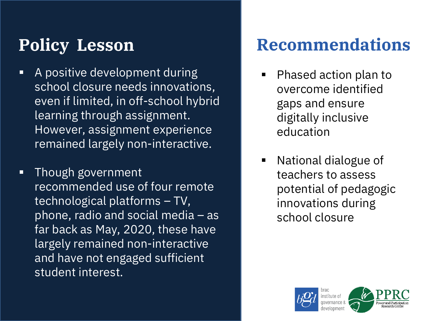#### **Policy Lesson**

- § A positive development during school closure needs innovations, even if limited, in off-school hybrid learning through assignment. However, assignment experience remained largely non-interactive.
- § Though government recommended use of four remote technological platforms – TV, phone, radio and social media – as far back as May, 2020, these have largely remained non-interactive and have not engaged sufficient student interest.

#### **Recommendations**

- § Phased action plan to overcome identified gaps and ensure digitally inclusive education
- § National dialogue of teachers to assess potential of pedagogic innovations during school closure

![](_page_31_Picture_6.jpeg)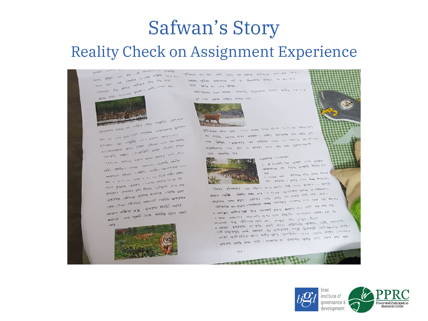## Safwan's Story

#### Reality Check on Assignment Experience

chester e processor en el processor el presidente de la processor en el processor en el processor en el proces<br>El processor en el processor en el processor en el processor en el processor en el processor en el processor e<br>  $\begin{picture}(100,10) \put(0,0){\line(1,0){10}} \put(0,0){\line(1,0){10}} \put(0,0){\line(1,0){10}} \put(0,0){\line(1,0){10}} \put(0,0){\line(1,0){10}} \put(0,0){\line(1,0){10}} \put(0,0){\line(1,0){10}} \put(0,0){\line(1,0){10}} \put(0,0){\line(1,0){10}} \put(0,0){\line(1,0){10}} \put(0,0){\line(1,0){10}} \put(0,0){\line(1,0){10}} \put(0$ port of the one of the scale of the scale of the scale of the scale of the scale of the scale of the scale of the scale of the scale of the scale of the scale of the scale of the scale of the scale of the scale of the scal When IEST Journal Etables and the most

![](_page_32_Picture_3.jpeg)

Kanadad was as ang tangga utumenta gayan **410 CH CLY WAY ONE SERVICE COMPANY OF THE COMPANY OF THE COMPANY OF THE COMPANY OF THE COMPANY OF THE COMPANY OF THE COMPANY OF THE COMPANY OF THE COMPANY OF THE COMPANY OF THE COMPANY OF THE COMPANY OF THE COMPANY OF THE** General Line Real Property and Control Property and Control Property and Control Property and Control Property and Control Property and Control Property and Control Property and Control Property and Control Property and Co **The CAL ONE AND CONTRACT STATE (2015)**<br>Glovenia I CAL And Call Contract State (2015) 1774-69-1802 **COMMAND PARTS (THE RESEARCH PARTS)**<br>The Command Section of the Command Command Section of the Command Section of the Command Section of the Common<br>The Command Commission of the Commission of the Commission of the Commiss <sub>त</sub> कित्वाधित है।<br>अन्तर्माणिने कार्बोन्सि अपिति अभिनेत्र अधिकारी अधिकारी किया।<br>स्वरूपमा कार्बेनाथ अपिति अभिनेत्र अभिनेत्र अधिकारी अधिकारी

 $\begin{array}{lll} & \mbox{if $\mathcal{P}$ is $10^{-3}$} & \mbox{if $\mathcal{P}$ is $10^{-3}$} & \mbox{if $\mathcal{P}$ is $10^{-3}$} \\ & \mbox{if $\mathcal{P}$ is $10^{-3}$} & \mbox{if $\mathcal{P}$ is $10^{-3}$} & \mbox{if $\mathcal{P}$ is $10^{-3}$} \\ & \mbox{if $\mathcal{P}$ is $10^{-3}$} & \mbox{if $\mathcal{P}$ is $10^{-3}$} & \mbox{if $\mathcal{P}$ is $10^{-3}$} & \mbox{if $\mathcal{P}$ is $10^{-3}$} \\ \end{array}$ cha - 37 مارچ المراكب - 1966 مارچ المراكب - 1974 مارچ المراكب<br>- 1976 مارچ - 1976 مارچ - 1976 مارچ المراكب - 1976 مارچ المراكب - 1976 مارچ - 1976 مارچ - 1976 مارچ - 1976 ما<br>- 1978 - 1979 مارچ - 1976 مارچ - 1978 مارچ - 1978 কাৰ্যায়ইন হিচা<br>কান ও ২০০১ লা কেন্দ্ৰ (২০৩৪ কাৰ্ড) ২১ (ম) জি<br>এখন ক্লুকাৰে এনাক্য ।১০৩৪ কাৰ্ড) ২১ (ম) জে ৰান ও ১৯৪৪ - একাদায় । ১৯৩২ কালের<br>এখন ব্রহ্মান একাদায় । ১৯৩২ কালের ডাত করে<br>ব্রহ্মায়ান একালের কালের ব্যাক্তায় পর্যক্তি হাত এখন ইঞ্চাণ<br>পুৰুত্বন এক্সিলার হান প্রত্যে পার্কি অবত<br>প্রদারবন্ধ প্রতিবর্ষ হার্বার বার্কার পর্যাক স্কুন্দরবন্ধ ন্ত্ৰাসন<br>ব্ৰায়বন্ধ প্ৰতিবহা প্ৰয়োগত পৰ্যটক স্কময়ক্ষ<br>ব্ৰেড ফেন-বিওডাই ব্ৰায়বন তিন্তি ক্যান ্বৰ দ্যান-বিদেনার অসম<br>অক্ষ দ্যান-বিদেনার জন্মদান ভিত্তি করার<br>অপক্ষণ অক্ষিত্রে অক্ষে বিভিন্ন তোল ওয় ্লকণ কৰিবে হিনি । ইউরেশ তেওঁ<br>কলকণ কৰিবে হিনি আৰু বিভিন্ন তোল কৰ্তন

![](_page_32_Picture_7.jpeg)

and we can also also as an also the sale of any were these mounted off as therefore apply to which capes all as one detection

alessation and said , woung alessine any sign as ~>

The state water after an IE

![](_page_32_Picture_11.jpeg)

the state cause this soul even your year sources are always to ক। তত্যার <sub>আয়োজে</sub>র হারণ হুকরদে। এজান অনালকিক আও নানি বাং<br>কি তত্যার <sub>আয়োজি</sub>র হারণ হুকরদে। এজান অনালকিক আও নানি বাং **THE ATOM** are after her earning and the distances are as a destroy are as any discussions  $225$   $5500$ 

![](_page_32_Picture_13.jpeg)

**SARTES COUNTRY CENTER OR STATE STATE STATE** 

algunaria da fara sengga glass an and the state of the state of the state of the state of the state of the state of the state of the state of the state of the state of the state of the state of the state of the state of the state of the state of the state on those and I does and the factoring

period a substance (Not getter also leader also a substance) sello proteccio del Parte della colla colla del discontrollo della Constanza.<br>Espaina della collaborazione della colla collaborazione della collaborazione di collaborazione di collaborazio **detailed mass letter allows were detailed** to advert one day user.<br>Better design allege experts and rene des securities allows and renew া আইক্ষেপ অভিযোগী কৰা এন নেকে নিয়ন্তি আন্তৰ্গত প্ৰদেশ কৰা কা<br>- বন্ধিকাৰে বনা ব্যৱস্থা কৰে প্ৰভাৱনি বুলাই কাৰ্যায় পৰিয়া পেন কোম পদ আটা বয়<br>- স্বাধ্যাত e अवराष्ट्रमा अस्तिमा (इस १९७३ मध्या समय अधिकारण सम्मान का स्थान करता है)<br>- अक्टूबा असलावार के अध्यालयी साधा शाक्त विद्युतिक का अलावा जानांका करते होते.<br>- अक्टूबा असलावार के साधा साधा सम्मान करते हैं। ornavite) was defended only the anti- the artists that is a matter of the artists of the content of the artists of the content of the content of the content of the content of the content of the content of the content of t ( सम्बद्ध) अनुसार के साथ कर मार के साथ मानिक साथ बाद कर कर है।<br>अन्नियम के अन्नियम कर दुनि खर्कर आया मान्नामने आवास बादी कर कर है।<br>अन्नियम के अनुसार कर आदियान, उसके लिखिती अनिश्चार के जाह इक्टिकोर्टर अमु च्याउर स्वरू ज्यान्ति स्वामान्दिन गान्ता कार्यन नावान्तर<br>1 क्यादी दश्यादेश दश्यादरु स्व पान्ति कार्यक्रम कार्यकरण प्राप्त करता केन्द्र<br>2014-11-11 - स्वायस्था दर्दस्के दाक्दे आरंभ वाद्यास्त्रके जानको सा াৰ্ছে। আমেৰিটেক-ছোনে আহি আদিয়াৰী আৰক্ষে এক বাবে আকে কয়েন ক্ষেত্ৰতো<br>আমি স্থিতিসমূহত লাভি আৰক্ষী আমেৰিক প্ৰাণবিদ্যালয় কৰে কয়েন কামালয়ে।<br>আমি স্থিতিসমূহত লাভি প্ৰয়োহক , বড় অতিয়াৰী পৰাস্থিত হোৱাৰ প্ৰাণ উপ্ৰায়ত প্ৰান্তি কৰে আহ । আন্দ্ৰান্ত যে প্ৰায়তি ক্ষতি হতে নেক হত। যে:<br>পাহন্দ্ৰী অ্যান্তিত্বিকাৰোনে অন্তি ক্ষতি আন্তৰ্ভত । নতুন নামন

agg-1

![](_page_32_Picture_18.jpeg)